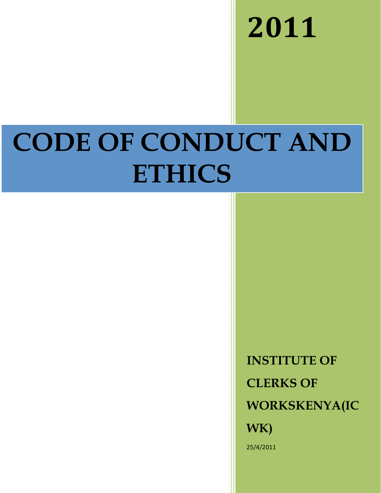**-**

# **CODE OF CONDUCT AND ETHICS**

**INSTITUTE OF CLERKS OF WORKSKENYA(IC WK)** 25/4/2011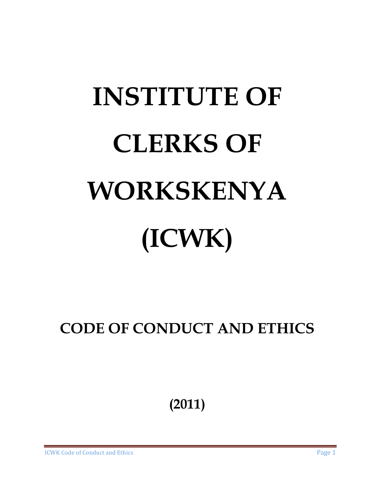# **INSTITUTE OF CLERKS OF WORKSKENYA (ICWK)**

**CODE OF CONDUCT AND ETHICS** 

**(2011)** 

**ICWK Code of Conduct and**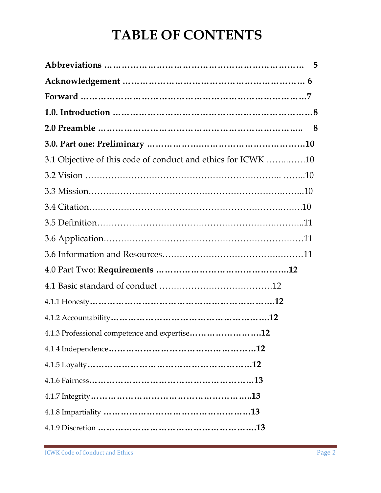# **TABLE OF CONTENTS**

| 3.1 Objective of this code of conduct and ethics for ICWK 10 |  |
|--------------------------------------------------------------|--|
|                                                              |  |
|                                                              |  |
|                                                              |  |
|                                                              |  |
|                                                              |  |
|                                                              |  |
|                                                              |  |
|                                                              |  |
|                                                              |  |
|                                                              |  |
| 4.1.3 Professional competence and expertise12                |  |
|                                                              |  |
|                                                              |  |
|                                                              |  |
|                                                              |  |
|                                                              |  |
|                                                              |  |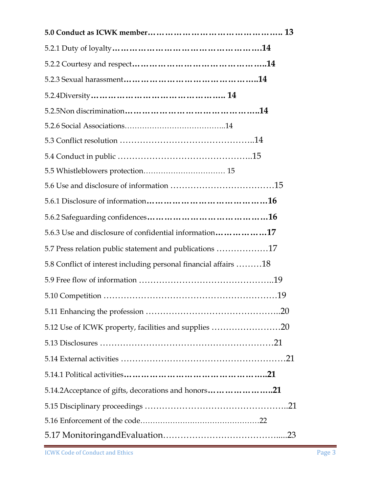| 5.6.3 Use and disclosure of confidential information17           |  |
|------------------------------------------------------------------|--|
| 5.7 Press relation public statement and publications 17          |  |
| 5.8 Conflict of interest including personal financial affairs 18 |  |
|                                                                  |  |
|                                                                  |  |
|                                                                  |  |
| 5.12 Use of ICWK property, facilities and supplies 20            |  |
|                                                                  |  |
|                                                                  |  |
|                                                                  |  |
| 5.14.2Acceptance of gifts, decorations and honors21              |  |
|                                                                  |  |
|                                                                  |  |
|                                                                  |  |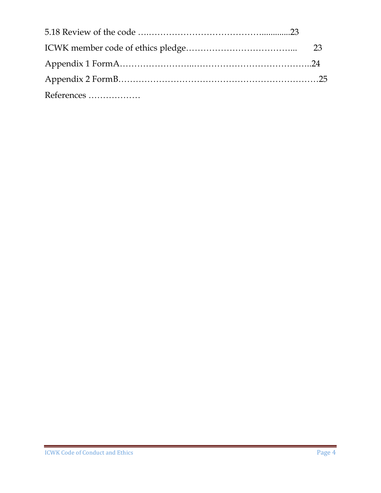| References |  |
|------------|--|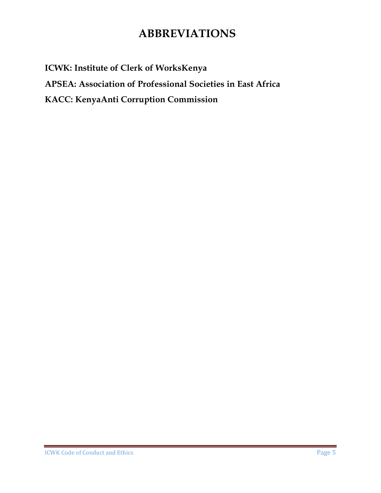# **ABBREVIATIONS**

**ICWK: Institute of Clerk of WorksKenya APSEA: Association of Professional Societies in East Africa KACC: KenyaAnti Corruption Commission**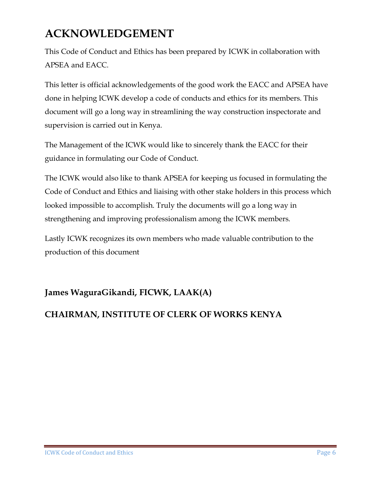# **ACKNOWLEDGEMENT**

This Code of Conduct and Ethics has been prepared by ICWK in collaboration with APSEA and EACC.

This letter is official acknowledgements of the good work the EACC and APSEA have done in helping ICWK develop a code of conducts and ethics for its members. This document will go a long way in streamlining the way construction inspectorate and supervision is carried out in Kenya.

The Management of the ICWK would like to sincerely thank the EACC for their guidance in formulating our Code of Conduct.

The ICWK would also like to thank APSEA for keeping us focused in formulating the Code of Conduct and Ethics and liaising with other stake holders in this process which looked impossible to accomplish. Truly the documents will go a long way in strengthening and improving professionalism among the ICWK members.

Lastly ICWK recognizes its own members who made valuable contribution to the production of this document

#### **James WaguraGikandi, FICWK, LAAK(A)**

#### **CHAIRMAN, INSTITUTE OF CLERK OF WORKS KENYA**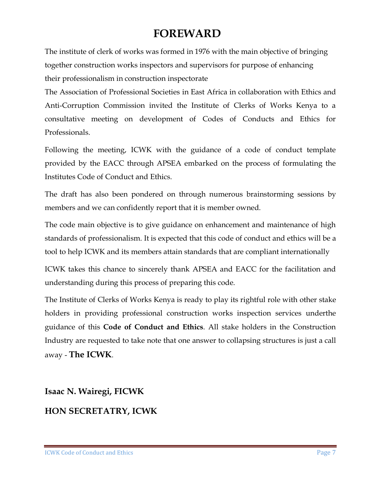### **FOREWARD**

The institute of clerk of works was formed in 1976 with the main objective of bringing together construction works inspectors and supervisors for purpose of enhancing their professionalism in construction inspectorate

The Association of Professional Societies in East Africa in collaboration with Ethics and Anti-Corruption Commission invited the Institute of Clerks of Works Kenya to a consultative meeting on development of Codes of Conducts and Ethics for Professionals.

Following the meeting, ICWK with the guidance of a code of conduct template provided by the EACC through APSEA embarked on the process of formulating the Institutes Code of Conduct and Ethics.

The draft has also been pondered on through numerous brainstorming sessions by members and we can confidently report that it is member owned.

The code main objective is to give guidance on enhancement and maintenance of high standards of professionalism. It is expected that this code of conduct and ethics will be a tool to help ICWK and its members attain standards that are compliant internationally

ICWK takes this chance to sincerely thank APSEA and EACC for the facilitation and understanding during this process of preparing this code.

The Institute of Clerks of Works Kenya is ready to play its rightful role with other stake holders in providing professional construction works inspection services underthe guidance of this **Code of Conduct and Ethics**. All stake holders in the Construction Industry are requested to take note that one answer to collapsing structures is just a call away - **The ICWK**.

# **Isaac N. Wairegi, FICWK HON SECRETATRY, ICWK**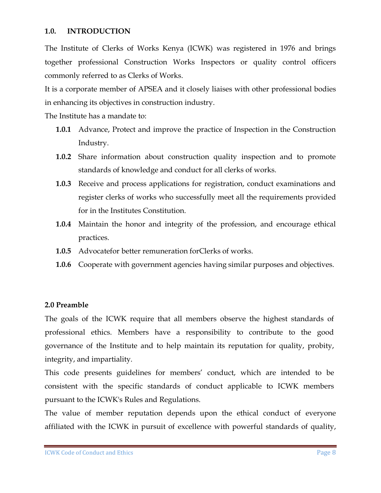#### **1.0. INTRODUCTION**

The Institute of Clerks of Works Kenya (ICWK) was registered in 1976 and brings together professional Construction Works Inspectors or quality control officers commonly referred to as Clerks of Works.

It is a corporate member of APSEA and it closely liaises with other professional bodies in enhancing its objectives in construction industry.

The Institute has a mandate to:

- **1.0.1** Advance, Protect and improve the practice of Inspection in the Construction Industry.
- **1.0.2** Share information about construction quality inspection and to promote standards of knowledge and conduct for all clerks of works.
- **1.0.3** Receive and process applications for registration, conduct examinations and register clerks of works who successfully meet all the requirements provided for in the Institutes Constitution.
- **1.0.4** Maintain the honor and integrity of the profession, and encourage ethical practices.
- **1.0.5** Advocatefor better remuneration forClerks of works.
- **1.0.6** Cooperate with government agencies having similar purposes and objectives.

#### **2.0 Preamble**

The goals of the ICWK require that all members observe the highest standards of professional ethics. Members have a responsibility to contribute to the good governance of the Institute and to help maintain its reputation for quality, probity, integrity, and impartiality.

This code presents guidelines for members' conduct, which are intended to be consistent with the specific standards of conduct applicable to ICWK members pursuant to the ICWK's Rules and Regulations.

The value of member reputation depends upon the ethical conduct of everyone affiliated with the ICWK in pursuit of excellence with powerful standards of quality,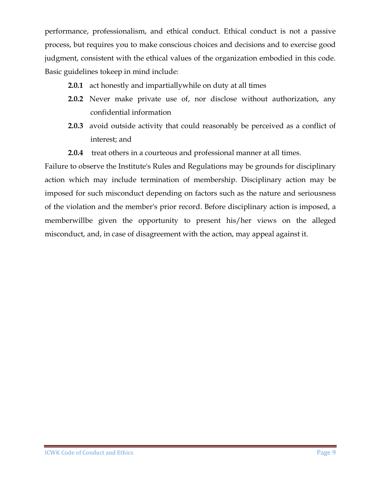performance, professionalism, and ethical conduct. Ethical conduct is not a passive process, but requires you to make conscious choices and decisions and to exercise good judgment, consistent with the ethical values of the organization embodied in this code. Basic guidelines tokeep in mind include:

- **2.0.1** act honestly and impartially while on duty at all times
- **2.0.2** Never make private use of, nor disclose without authorization, any confidential information
- **2.0.3** avoid outside activity that could reasonably be perceived as a conflict of interest; and
- **2.0.4** treat others in a courteous and professional manner at all times.

Failure to observe the Institute's Rules and Regulations may be grounds for disciplinary action which may include termination of membership. Disciplinary action may be imposed for such misconduct depending on factors such as the nature and seriousness of the violation and the member's prior record. Before disciplinary action is imposed, a memberwillbe given the opportunity to present his/her views on the alleged misconduct, and, in case of disagreement with the action, may appeal against it.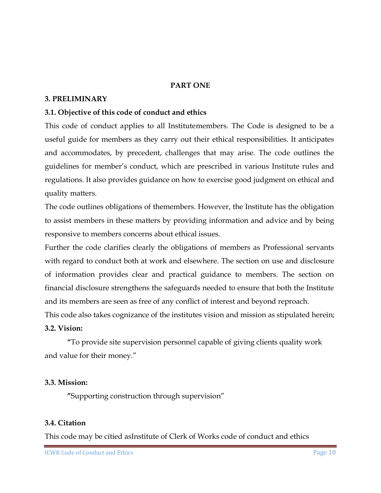#### **PART ONE**

#### **3. PRELIMINARY**

#### **3.1. Objective of this code of conduct and ethics**

This code of conduct applies to all Institutemembers. The Code is designed to be a useful guide for members as they carry out their ethical responsibilities. It anticipates and accommodates, by precedent, challenges that may arise. The code outlines the guidelines for member's conduct, which are prescribed in various Institute rules and regulations. It also provides guidance on how to exercise good judgment on ethical and quality matters.

The code outlines obligations of themembers. However, the Institute has the obligation to assist members in these matters by providing information and advice and by being responsive to members concerns about ethical issues.

Further the code clarifies clearly the obligations of members as Professional servants with regard to conduct both at work and elsewhere. The section on use and disclosure of information provides clear and practical guidance to members. The section on financial disclosure strengthens the safeguards needed to ensure that both the Institute and its members are seen as free of any conflict of interest and beyond reproach.

This code also takes cognizance of the institutes vision and mission as stipulated herein; **3.2. Vision:** 

**"**To provide site supervision personnel capable of giving clients quality work and value for their money."

#### **3.3. Mission:**

**"**Supporting construction through supervision"

#### **3.4. Citation**

This code may be citied asInstitute of Clerk of Works code of conduct and ethics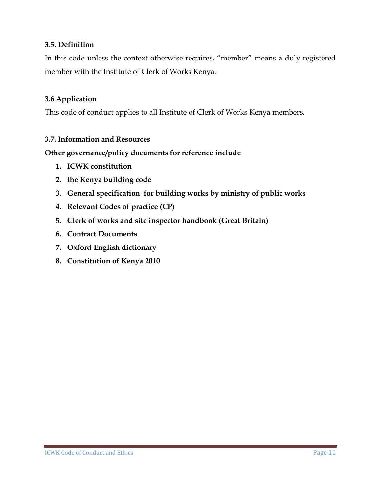#### **3.5. Definition**

In this code unless the context otherwise requires, "member" means a duly registered member with the Institute of Clerk of Works Kenya.

#### **3.6 Application**

This code of conduct applies to all Institute of Clerk of Works Kenya members**.** 

#### **3.7. Information and Resources**

**Other governance/policy documents for reference include** 

- **1. ICWK constitution**
- **2. the Kenya building code**
- **3. General specification for building works by ministry of public works**
- **4. Relevant Codes of practice (CP)**
- **5. Clerk of works and site inspector handbook (Great Britain)**
- **6. Contract Documents**
- **7. Oxford English dictionary**
- **8. Constitution of Kenya 2010**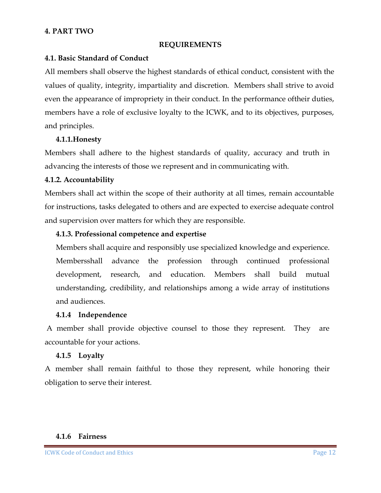#### **4. PART TWO**

#### **REQUIREMENTS**

#### **4.1. Basic Standard of Conduct**

All members shall observe the highest standards of ethical conduct, consistent with the values of quality, integrity, impartiality and discretion. Members shall strive to avoid even the appearance of impropriety in their conduct. In the performance oftheir duties, members have a role of exclusive loyalty to the ICWK, and to its objectives, purposes, and principles.

#### **4.1.1.Honesty**

Members shall adhere to the highest standards of quality, accuracy and truth in advancing the interests of those we represent and in communicating with.

#### **4.1.2. Accountability**

Members shall act within the scope of their authority at all times, remain accountable for instructions, tasks delegated to others and are expected to exercise adequate control and supervision over matters for which they are responsible.

#### **4.1.3. Professional competence and expertise**

Members shall acquire and responsibly use specialized knowledge and experience. Membersshall advance the profession through continued professional development, research, and education. Members shall build mutual understanding, credibility, and relationships among a wide array of institutions and audiences.

#### **4.1.4 Independence**

 A member shall provide objective counsel to those they represent. They are accountable for your actions.

#### **4.1.5 Loyalty**

A member shall remain faithful to those they represent, while honoring their obligation to serve their interest.

#### **4.1.6 Fairness**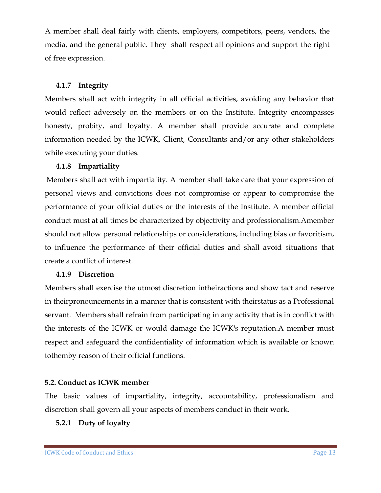A member shall deal fairly with clients, employers, competitors, peers, vendors, the media, and the general public. They shall respect all opinions and support the right of free expression.

#### **4.1.7 Integrity**

Members shall act with integrity in all official activities, avoiding any behavior that would reflect adversely on the members or on the Institute. Integrity encompasses honesty, probity, and loyalty. A member shall provide accurate and complete information needed by the ICWK, Client, Consultants and/or any other stakeholders while executing your duties.

#### **4.1.8 Impartiality**

 Members shall act with impartiality. A member shall take care that your expression of personal views and convictions does not compromise or appear to compromise the performance of your official duties or the interests of the Institute. A member official conduct must at all times be characterized by objectivity and professionalism.Amember should not allow personal relationships or considerations, including bias or favoritism, to influence the performance of their official duties and shall avoid situations that create a conflict of interest.

#### **4.1.9 Discretion**

Members shall exercise the utmost discretion intheiractions and show tact and reserve in theirpronouncements in a manner that is consistent with theirstatus as a Professional servant. Members shall refrain from participating in any activity that is in conflict with the interests of the ICWK or would damage the ICWK's reputation.A member must respect and safeguard the confidentiality of information which is available or known tothemby reason of their official functions.

#### **5.2. Conduct as ICWK member**

The basic values of impartiality, integrity, accountability, professionalism and discretion shall govern all your aspects of members conduct in their work.

**5.2.1 Duty of loyalty**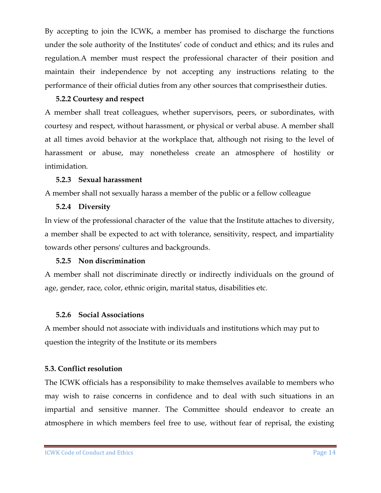By accepting to join the ICWK, a member has promised to discharge the functions under the sole authority of the Institutes' code of conduct and ethics; and its rules and regulation.A member must respect the professional character of their position and maintain their independence by not accepting any instructions relating to the performance of their official duties from any other sources that comprisestheir duties.

#### **5.2.2 Courtesy and respect**

A member shall treat colleagues, whether supervisors, peers, or subordinates, with courtesy and respect, without harassment, or physical or verbal abuse. A member shall at all times avoid behavior at the workplace that, although not rising to the level of harassment or abuse, may nonetheless create an atmosphere of hostility or intimidation.

#### **5.2.3 Sexual harassment**

A member shall not sexually harass a member of the public or a fellow colleague

#### **5.2.4 Diversity**

In view of the professional character of the value that the Institute attaches to diversity, a member shall be expected to act with tolerance, sensitivity, respect, and impartiality towards other persons' cultures and backgrounds.

#### **5.2.5 Non discrimination**

A member shall not discriminate directly or indirectly individuals on the ground of age, gender, race, color, ethnic origin, marital status, disabilities etc.

#### **5.2.6 Social Associations**

A member should not associate with individuals and institutions which may put to question the integrity of the Institute or its members

#### **5.3. Conflict resolution**

The ICWK officials has a responsibility to make themselves available to members who may wish to raise concerns in confidence and to deal with such situations in an impartial and sensitive manner. The Committee should endeavor to create an atmosphere in which members feel free to use, without fear of reprisal, the existing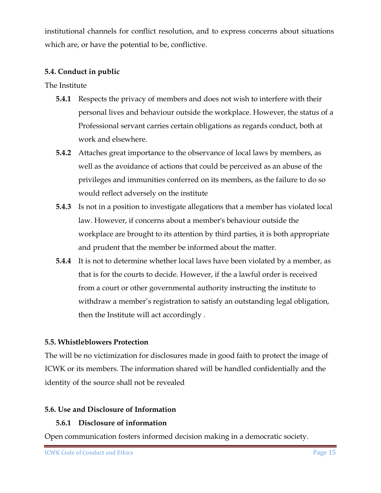institutional channels for conflict resolution, and to express concerns about situations which are, or have the potential to be, conflictive.

#### **5.4. Conduct in public**

The Institute

- **5.4.1** Respects the privacy of members and does not wish to interfere with their personal lives and behaviour outside the workplace. However, the status of a Professional servant carries certain obligations as regards conduct, both at work and elsewhere.
- **5.4.2** Attaches great importance to the observance of local laws by members, as well as the avoidance of actions that could be perceived as an abuse of the privileges and immunities conferred on its members, as the failure to do so would reflect adversely on the institute
- **5.4.3** Is not in a position to investigate allegations that a member has violated local law. However, if concerns about a member's behaviour outside the workplace are brought to its attention by third parties, it is both appropriate and prudent that the member be informed about the matter.
- **5.4.4** It is not to determine whether local laws have been violated by a member, as that is for the courts to decide. However, if the a lawful order is received from a court or other governmental authority instructing the institute to withdraw a member's registration to satisfy an outstanding legal obligation, then the Institute will act accordingly .

#### **5.5. Whistleblowers Protection**

The will be no victimization for disclosures made in good faith to protect the image of ICWK or its members. The information shared will be handled confidentially and the identity of the source shall not be revealed

#### **5.6. Use and Disclosure of Information**

#### **5.6.1 Disclosure of information**

Open communication fosters informed decision making in a democratic society.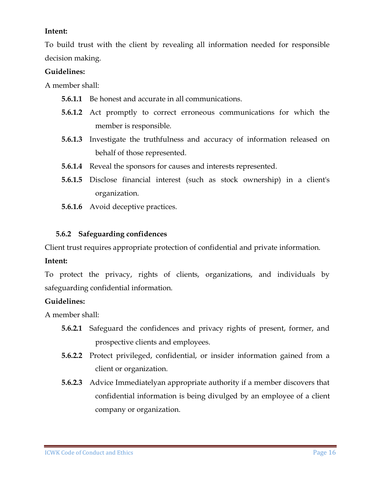#### **Intent:**

To build trust with the client by revealing all information needed for responsible decision making.

#### **Guidelines:**

A member shall:

- **5.6.1.1** Be honest and accurate in all communications.
- **5.6.1.2** Act promptly to correct erroneous communications for which the member is responsible.
- **5.6.1.3** Investigate the truthfulness and accuracy of information released on behalf of those represented.
- **5.6.1.4** Reveal the sponsors for causes and interests represented.
- **5.6.1.5** Disclose financial interest (such as stock ownership) in a client's organization.
- **5.6.1.6** Avoid deceptive practices.

#### **5.6.2 Safeguarding confidences**

Client trust requires appropriate protection of confidential and private information.

#### **Intent:**

To protect the privacy, rights of clients, organizations, and individuals by safeguarding confidential information.

#### **Guidelines:**

A member shall:

- **5.6.2.1** Safeguard the confidences and privacy rights of present, former, and prospective clients and employees.
- **5.6.2.2** Protect privileged, confidential, or insider information gained from a client or organization.
- **5.6.2.3** Advice Immediatelyan appropriate authority if a member discovers that confidential information is being divulged by an employee of a client company or organization.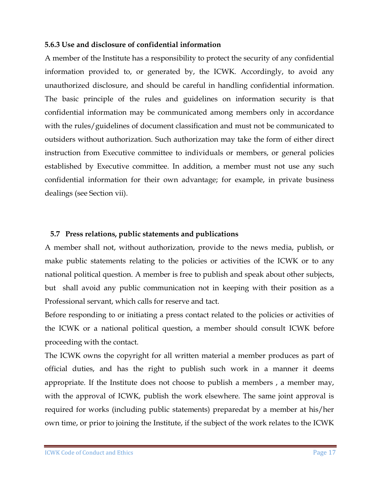#### **5.6.3 Use and disclosure of confidential information**

A member of the Institute has a responsibility to protect the security of any confidential information provided to, or generated by, the ICWK. Accordingly, to avoid any unauthorized disclosure, and should be careful in handling confidential information. The basic principle of the rules and guidelines on information security is that confidential information may be communicated among members only in accordance with the rules/guidelines of document classification and must not be communicated to outsiders without authorization. Such authorization may take the form of either direct instruction from Executive committee to individuals or members, or general policies established by Executive committee. In addition, a member must not use any such confidential information for their own advantage; for example, in private business dealings (see Section vii).

#### **5.7 Press relations, public statements and publications**

A member shall not, without authorization, provide to the news media, publish, or make public statements relating to the policies or activities of the ICWK or to any national political question. A member is free to publish and speak about other subjects, but shall avoid any public communication not in keeping with their position as a Professional servant, which calls for reserve and tact.

Before responding to or initiating a press contact related to the policies or activities of the ICWK or a national political question, a member should consult ICWK before proceeding with the contact.

The ICWK owns the copyright for all written material a member produces as part of official duties, and has the right to publish such work in a manner it deems appropriate. If the Institute does not choose to publish a members , a member may, with the approval of ICWK, publish the work elsewhere. The same joint approval is required for works (including public statements) preparedat by a member at his/her own time, or prior to joining the Institute, if the subject of the work relates to the ICWK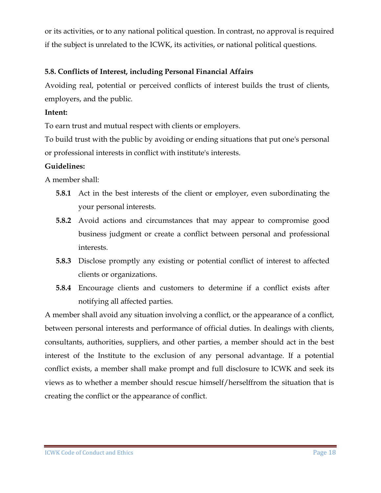or its activities, or to any national political question. In contrast, no approval is required if the subject is unrelated to the ICWK, its activities, or national political questions.

#### **5.8. Conflicts of Interest, including Personal Financial Affairs**

Avoiding real, potential or perceived conflicts of interest builds the trust of clients, employers, and the public.

#### **Intent:**

To earn trust and mutual respect with clients or employers.

To build trust with the public by avoiding or ending situations that put one's personal or professional interests in conflict with institute's interests.

#### **Guidelines:**

A member shall:

- **5.8.1** Act in the best interests of the client or employer, even subordinating the your personal interests.
- **5.8.2** Avoid actions and circumstances that may appear to compromise good business judgment or create a conflict between personal and professional interests.
- **5.8.3** Disclose promptly any existing or potential conflict of interest to affected clients or organizations.
- **5.8.4** Encourage clients and customers to determine if a conflict exists after notifying all affected parties.

A member shall avoid any situation involving a conflict, or the appearance of a conflict, between personal interests and performance of official duties. In dealings with clients, consultants, authorities, suppliers, and other parties, a member should act in the best interest of the Institute to the exclusion of any personal advantage. If a potential conflict exists, a member shall make prompt and full disclosure to ICWK and seek its views as to whether a member should rescue himself/herselffrom the situation that is creating the conflict or the appearance of conflict.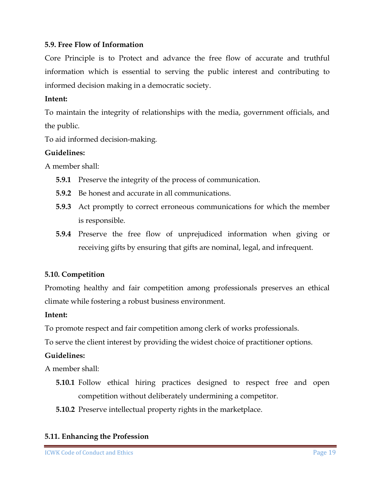#### **5.9. Free Flow of Information**

Core Principle is to Protect and advance the free flow of accurate and truthful information which is essential to serving the public interest and contributing to informed decision making in a democratic society.

#### **Intent:**

To maintain the integrity of relationships with the media, government officials, and the public.

To aid informed decision-making.

#### **Guidelines:**

A member shall:

- **5.9.1** Preserve the integrity of the process of communication.
- **5.9.2** Be honest and accurate in all communications.
- **5.9.3** Act promptly to correct erroneous communications for which the member is responsible.
- **5.9.4** Preserve the free flow of unprejudiced information when giving or receiving gifts by ensuring that gifts are nominal, legal, and infrequent.

#### **5.10. Competition**

Promoting healthy and fair competition among professionals preserves an ethical climate while fostering a robust business environment.

#### **Intent:**

To promote respect and fair competition among clerk of works professionals.

To serve the client interest by providing the widest choice of practitioner options.

#### **Guidelines:**

A member shall:

- **5.10.1** Follow ethical hiring practices designed to respect free and open competition without deliberately undermining a competitor.
- **5.10.2** Preserve intellectual property rights in the marketplace.

#### **5.11. Enhancing the Profession**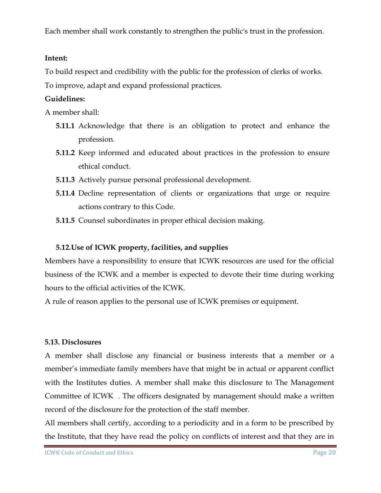Each member shall work constantly to strengthen the public's trust in the profession.

#### **Intent:**

To build respect and credibility with the public for the profession of clerks of works. To improve, adapt and expand professional practices.

#### **Guidelines:**

A member shall:

- **5.11.1** Acknowledge that there is an obligation to protect and enhance the profession.
- **5.11.2** Keep informed and educated about practices in the profession to ensure ethical conduct.
- **5.11.3** Actively pursue personal professional development.
- **5.11.4** Decline representation of clients or organizations that urge or require actions contrary to this Code.
- **5.11.5** Counsel subordinates in proper ethical decision making.

#### **5.12.Use of ICWK property, facilities, and supplies**

Members have a responsibility to ensure that ICWK resources are used for the official business of the ICWK and a member is expected to devote their time during working hours to the official activities of the ICWK.

A rule of reason applies to the personal use of ICWK premises or equipment.

#### **5.13. Disclosures**

A member shall disclose any financial or business interests that a member or a member's immediate family members have that might be in actual or apparent conflict with the Institutes duties. A member shall make this disclosure to The Management Committee of ICWK . The officers designated by management should make a written record of the disclosure for the protection of the staff member.

All members shall certify, according to a periodicity and in a form to be prescribed by the Institute, that they have read the policy on conflicts of interest and that they are in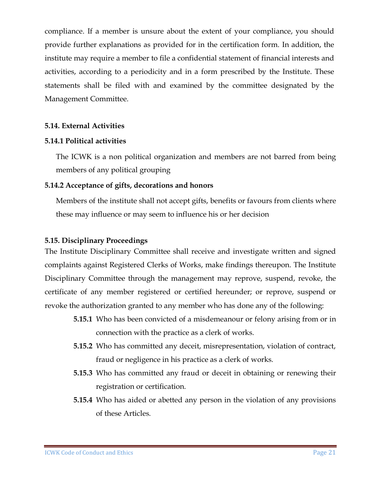compliance. If a member is unsure about the extent of your compliance, you should provide further explanations as provided for in the certification form. In addition, the institute may require a member to file a confidential statement of financial interests and activities, according to a periodicity and in a form prescribed by the Institute. These statements shall be filed with and examined by the committee designated by the Management Committee.

#### **5.14. External Activities**

#### **5.14.1 Political activities**

The ICWK is a non political organization and members are not barred from being members of any political grouping

#### **5.14.2 Acceptance of gifts, decorations and honors**

Members of the institute shall not accept gifts, benefits or favours from clients where these may influence or may seem to influence his or her decision

#### **5.15. Disciplinary Proceedings**

The Institute Disciplinary Committee shall receive and investigate written and signed complaints against Registered Clerks of Works, make findings thereupon. The Institute Disciplinary Committee through the management may reprove, suspend, revoke, the certificate of any member registered or certified hereunder; or reprove, suspend or revoke the authorization granted to any member who has done any of the following:

- **5.15.1** Who has been convicted of a misdemeanour or felony arising from or in connection with the practice as a clerk of works.
- **5.15.2** Who has committed any deceit, misrepresentation, violation of contract, fraud or negligence in his practice as a clerk of works.
- **5.15.3** Who has committed any fraud or deceit in obtaining or renewing their registration or certification.
- **5.15.4** Who has aided or abetted any person in the violation of any provisions of these Articles.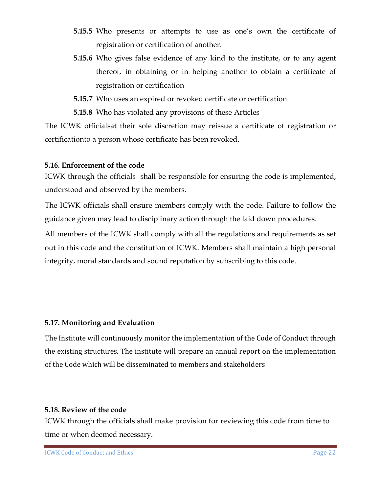- **5.15.5** Who presents or attempts to use as one's own the certificate of registration or certification of another.
- **5.15.6** Who gives false evidence of any kind to the institute, or to any agent thereof, in obtaining or in helping another to obtain a certificate of registration or certification
- **5.15.7** Who uses an expired or revoked certificate or certification
- **5.15.8** Who has violated any provisions of these Articles

The ICWK officialsat their sole discretion may reissue a certificate of registration or certificationto a person whose certificate has been revoked.

#### **5.16. Enforcement of the code**

ICWK through the officials shall be responsible for ensuring the code is implemented, understood and observed by the members.

The ICWK officials shall ensure members comply with the code. Failure to follow the guidance given may lead to disciplinary action through the laid down procedures.

All members of the ICWK shall comply with all the regulations and requirements as set out in this code and the constitution of ICWK. Members shall maintain a high personal integrity, moral standards and sound reputation by subscribing to this code.

#### **5.17. Monitoring and Evaluation**

The Institute will continuously monitor the implementation of the Code of Conduct through the existing structures. The institute will prepare an annual report on the implementation of the Code which will be disseminated to members and stakeholders

#### **5.18. Review of the code**

ICWK through the officials shall make provision for reviewing this code from time to time or when deemed necessary.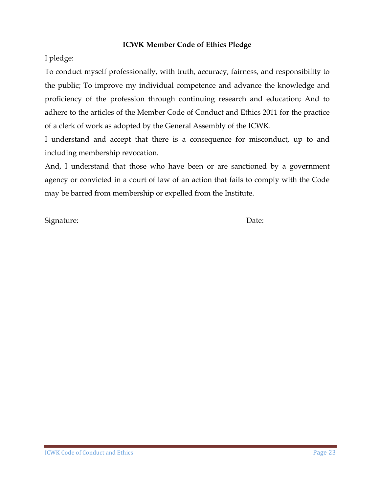#### **ICWK Member Code of Ethics Pledge**

I pledge:

To conduct myself professionally, with truth, accuracy, fairness, and responsibility to the public; To improve my individual competence and advance the knowledge and proficiency of the profession through continuing research and education; And to adhere to the articles of the Member Code of Conduct and Ethics 2011 for the practice of a clerk of work as adopted by the General Assembly of the ICWK.

I understand and accept that there is a consequence for misconduct, up to and including membership revocation.

And, I understand that those who have been or are sanctioned by a government agency or convicted in a court of law of an action that fails to comply with the Code may be barred from membership or expelled from the Institute.

Signature: Date: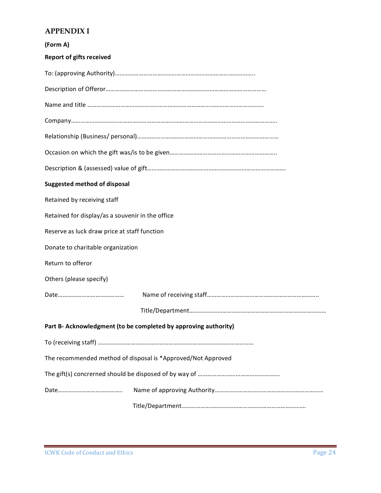#### **APPENDIX I**

| (Form A)                                         |                                                                 |
|--------------------------------------------------|-----------------------------------------------------------------|
| <b>Report of gifts received</b>                  |                                                                 |
|                                                  |                                                                 |
|                                                  |                                                                 |
|                                                  |                                                                 |
|                                                  |                                                                 |
|                                                  |                                                                 |
|                                                  |                                                                 |
|                                                  |                                                                 |
| <b>Suggested method of disposal</b>              |                                                                 |
| Retained by receiving staff                      |                                                                 |
| Retained for display/as a souvenir in the office |                                                                 |
| Reserve as luck draw price at staff function     |                                                                 |
| Donate to charitable organization                |                                                                 |
| Return to offeror                                |                                                                 |
| Others (please specify)                          |                                                                 |
|                                                  |                                                                 |
|                                                  |                                                                 |
|                                                  | Part B- Acknowledgment (to be completed by approving authority) |
|                                                  |                                                                 |
|                                                  | The recommended method of disposal is *Approved/Not Approved    |
|                                                  |                                                                 |
|                                                  |                                                                 |
|                                                  |                                                                 |